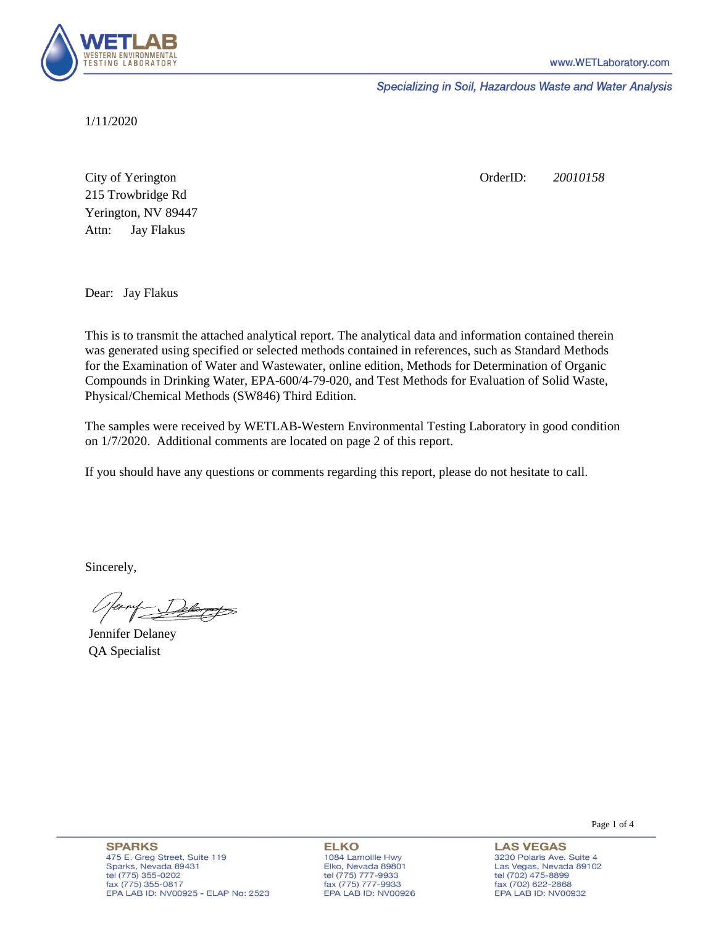

Specializing in Soil, Hazardous Waste and Water Analysis

1/11/2020

Attn: City of Yerington 215 Trowbridge Rd Jay Flakus Yerington, NV 89447 OrderID: *20010158*

Dear: Jay Flakus

This is to transmit the attached analytical report. The analytical data and information contained therein was generated using specified or selected methods contained in references, such as Standard Methods for the Examination of Water and Wastewater, online edition, Methods for Determination of Organic Compounds in Drinking Water, EPA-600/4-79-020, and Test Methods for Evaluation of Solid Waste, Physical/Chemical Methods (SW846) Third Edition.

The samples were received by WETLAB-Western Environmental Testing Laboratory in good condition on 1/7/2020. Additional comments are located on page 2 of this report.

If you should have any questions or comments regarding this report, please do not hesitate to call.

Sincerely,

Delarge

Jennifer Delaney QA Specialist

**SPARKS** 475 E. Greg Street, Suite 119 Sparks, Nevada 89431 tel (775) 355-0202 fax (775) 355-0817 EPA LAB ID: NV00925 - ELAP No: 2523

**ELKO** 1084 Lamoille Hwy Elko, Nevada 89801 tel (775) 777-9933<br>fax (775) 777-9933 EPA LAB ID: NV00926 Page 1 of 4

**LAS VEGAS** 3230 Polaris Ave. Suite 4 Las Vegas, Nevada 89102 tel (702) 475-8899 fax (702) 622-2868 EPA LAB ID: NV00932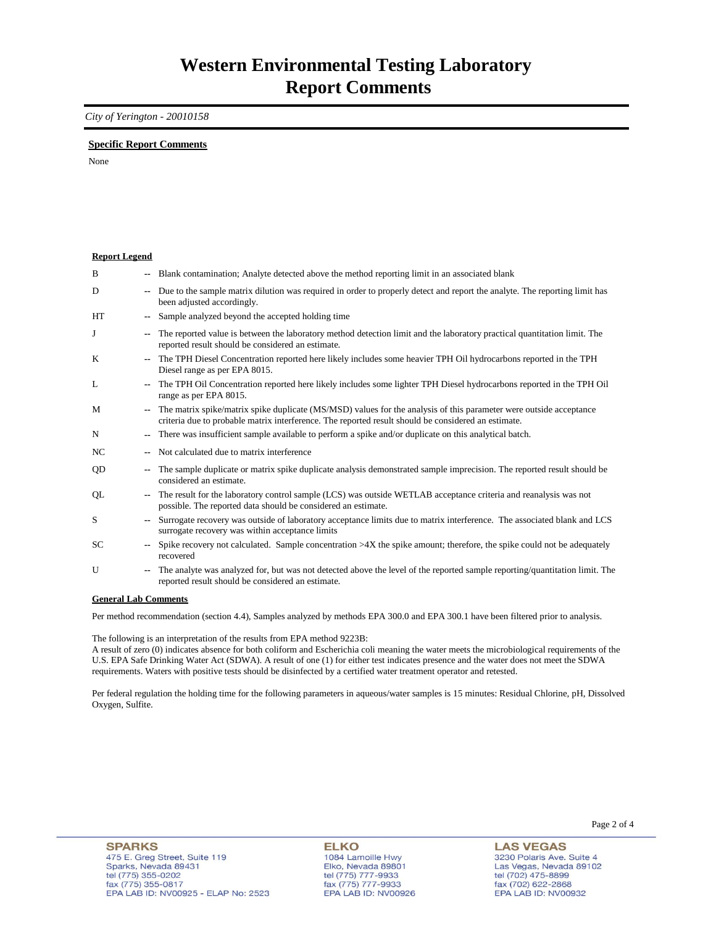### *City of Yerington - 20010158*

### **Specific Report Comments**

None

| <b>Report Legend</b> |                          |                                                                                                                                                                                                                           |
|----------------------|--------------------------|---------------------------------------------------------------------------------------------------------------------------------------------------------------------------------------------------------------------------|
| B                    |                          | Blank contamination; Analyte detected above the method reporting limit in an associated blank                                                                                                                             |
| D                    |                          | Due to the sample matrix dilution was required in order to properly detect and report the analyte. The reporting limit has<br>been adjusted accordingly.                                                                  |
| HT                   | $\overline{\phantom{a}}$ | Sample analyzed beyond the accepted holding time                                                                                                                                                                          |
| J                    | ۰.                       | The reported value is between the laboratory method detection limit and the laboratory practical quantitation limit. The<br>reported result should be considered an estimate.                                             |
| K                    |                          | The TPH Diesel Concentration reported here likely includes some heavier TPH Oil hydrocarbons reported in the TPH<br>Diesel range as per EPA 8015.                                                                         |
| L                    |                          | The TPH Oil Concentration reported here likely includes some lighter TPH Diesel hydrocarbons reported in the TPH Oil<br>range as per EPA 8015.                                                                            |
| M                    | $\mathbf{u}$             | The matrix spike/matrix spike duplicate (MS/MSD) values for the analysis of this parameter were outside acceptance<br>criteria due to probable matrix interference. The reported result should be considered an estimate. |
| N                    |                          | There was insufficient sample available to perform a spike and/or duplicate on this analytical batch.                                                                                                                     |
| NC.                  |                          | Not calculated due to matrix interference                                                                                                                                                                                 |
| QD                   |                          | The sample duplicate or matrix spike duplicate analysis demonstrated sample imprecision. The reported result should be<br>considered an estimate.                                                                         |
| QL                   | $\mathbf{u}$             | The result for the laboratory control sample (LCS) was outside WETLAB acceptance criteria and reanalysis was not<br>possible. The reported data should be considered an estimate.                                         |
| S                    |                          | Surrogate recovery was outside of laboratory acceptance limits due to matrix interference. The associated blank and LCS<br>surrogate recovery was within acceptance limits                                                |
| SC                   |                          | Spike recovery not calculated. Sample concentration >4X the spike amount; therefore, the spike could not be adequately<br>recovered                                                                                       |
| U                    | $\overline{\phantom{a}}$ | The analyte was analyzed for, but was not detected above the level of the reported sample reporting/quantitation limit. The<br>reported result should be considered an estimate.                                          |
| Conoral Lah Commonts |                          |                                                                                                                                                                                                                           |

#### **General Lab Comments**

Per method recommendation (section 4.4), Samples analyzed by methods EPA 300.0 and EPA 300.1 have been filtered prior to analysis.

The following is an interpretation of the results from EPA method 9223B:

A result of zero (0) indicates absence for both coliform and Escherichia coli meaning the water meets the microbiological requirements of the U.S. EPA Safe Drinking Water Act (SDWA). A result of one (1) for either test indicates presence and the water does not meet the SDWA requirements. Waters with positive tests should be disinfected by a certified water treatment operator and retested.

Per federal regulation the holding time for the following parameters in aqueous/water samples is 15 minutes: Residual Chlorine, pH, Dissolved Oxygen, Sulfite.

**LAS VEGAS** 3230 Polaris Ave. Suite 4 Las Vegas, Nevada 89102 tel (702) 475-8899 fax (702) 47 3-8899<br>fax (702) 622-2868<br>EPA LAB ID: NV00932

Page 2 of 4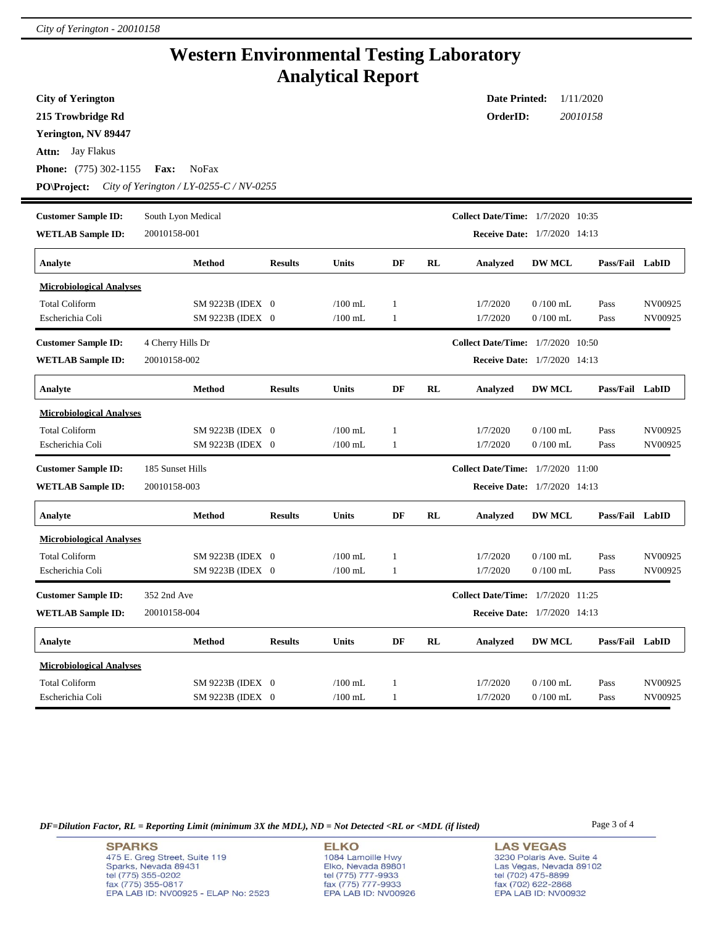## **Western Environmental Testing Laboratory Analytical Report**

| <b>City of Yerington</b>        |                                         |                |              |              |           | <b>Date Printed:</b>                     |               | 1/11/2020       |         |
|---------------------------------|-----------------------------------------|----------------|--------------|--------------|-----------|------------------------------------------|---------------|-----------------|---------|
| 215 Trowbridge Rd               |                                         |                |              |              |           | OrderID:                                 |               | 20010158        |         |
| Yerington, NV 89447             |                                         |                |              |              |           |                                          |               |                 |         |
| <b>Attn:</b> Jay Flakus         |                                         |                |              |              |           |                                          |               |                 |         |
| <b>Phone:</b> (775) 302-1155    | Fax:<br><b>NoFax</b>                    |                |              |              |           |                                          |               |                 |         |
| <b>PO\Project:</b>              | City of Yerington / LY-0255-C / NV-0255 |                |              |              |           |                                          |               |                 |         |
|                                 |                                         |                |              |              |           | Collect Date/Time: 1/7/2020 10:35        |               |                 |         |
| <b>Customer Sample ID:</b>      | South Lyon Medical                      |                |              |              |           |                                          |               |                 |         |
| <b>WETLAB Sample ID:</b>        | 20010158-001                            |                |              |              |           | <b>Receive Date:</b> 1/7/2020 14:13      |               |                 |         |
| Analyte                         | Method                                  | <b>Results</b> | Units        | DF           | RL        | Analyzed                                 | <b>DW MCL</b> | Pass/Fail LabID |         |
| <b>Microbiological Analyses</b> |                                         |                |              |              |           |                                          |               |                 |         |
| <b>Total Coliform</b>           | SM 9223B (IDEX 0                        |                | $/100$ mL    | 1            |           | 1/7/2020                                 | $0/100$ mL    | Pass            | NV00925 |
| Escherichia Coli                | SM 9223B (IDEX 0                        |                | $/100$ mL    | 1            |           | 1/7/2020                                 | $0/100$ mL    | Pass            | NV00925 |
| <b>Customer Sample ID:</b>      | 4 Cherry Hills Dr                       |                |              |              |           | <b>Collect Date/Time:</b> 1/7/2020 10:50 |               |                 |         |
| <b>WETLAB Sample ID:</b>        | 20010158-002                            |                |              |              |           | <b>Receive Date:</b> 1/7/2020 14:13      |               |                 |         |
| Analyte                         | Method                                  | <b>Results</b> | Units        | DF           | RL        | Analyzed                                 | <b>DW MCL</b> | Pass/Fail LabID |         |
| <b>Microbiological Analyses</b> |                                         |                |              |              |           |                                          |               |                 |         |
| <b>Total Coliform</b>           | SM 9223B (IDEX 0                        |                | $/100$ mL    | 1            |           | 1/7/2020                                 | $0/100$ mL    | Pass            | NV00925 |
| Escherichia Coli                | SM 9223B (IDEX 0                        |                | $/100$ mL    | 1            |           | 1/7/2020                                 | $0/100$ mL    | Pass            | NV00925 |
| <b>Customer Sample ID:</b>      | 185 Sunset Hills                        |                |              |              |           | <b>Collect Date/Time:</b> 1/7/2020 11:00 |               |                 |         |
| <b>WETLAB Sample ID:</b>        | 20010158-003                            |                |              |              |           | <b>Receive Date:</b> 1/7/2020 14:13      |               |                 |         |
| Analyte                         | Method                                  | <b>Results</b> | Units        | DF           | RL        | Analyzed                                 | <b>DW MCL</b> | Pass/Fail LabID |         |
| <b>Microbiological Analyses</b> |                                         |                |              |              |           |                                          |               |                 |         |
| <b>Total Coliform</b>           | SM 9223B (IDEX 0                        |                | $/100$ mL    | 1            |           | 1/7/2020                                 | $0/100$ mL    | Pass            | NV00925 |
| Escherichia Coli                | SM 9223B (IDEX 0                        |                | $/100$ mL    | 1            |           | 1/7/2020                                 | $0/100$ mL    | Pass            | NV00925 |
| <b>Customer Sample ID:</b>      | 352 2nd Ave                             |                |              |              |           | <b>Collect Date/Time:</b> 1/7/2020 11:25 |               |                 |         |
| <b>WETLAB Sample ID:</b>        | 20010158-004                            |                |              |              |           | <b>Receive Date:</b> 1/7/2020 14:13      |               |                 |         |
| Analyte                         | Method                                  | <b>Results</b> | <b>Units</b> | DF           | <b>RL</b> | Analyzed                                 | <b>DW MCL</b> | Pass/Fail LabID |         |
| <b>Microbiological Analyses</b> |                                         |                |              |              |           |                                          |               |                 |         |
| <b>Total Coliform</b>           | SM 9223B (IDEX 0                        |                | $/100$ mL    | 1            |           | 1/7/2020                                 | $0/100$ mL    | Pass            | NV00925 |
| Escherichia Coli                | SM 9223B (IDEX 0                        |                | $/100$ mL    | $\mathbf{1}$ |           | 1/7/2020                                 | $0/100$ mL    | Pass            | NV00925 |

*DF=Dilution Factor, RL = Reporting Limit (minimum 3X the MDL), ND = Not Detected <RL or <MDL (if listed)* Page 3 of 4

**SPARKS** 475 E. Greg Street, Suite 119 Sparks, Nevada 89431<br>tel (775) 355-0202<br>fax (775) 355-0817 EPA LAB ID: NV00925 - ELAP No: 2523

**ELKO** 1084 Lamoille Hwy Polyton, Nevada 89801<br>tel (775) 777-9933<br>fax (775) 777-9933<br>EPA LAB ID: NV00926

**LAS VEGAS** 3230 Polaris Ave. Suite 4 Las Vegas, Nevada 89102<br>tel (702) 475-8899<br>fax (702) 622-2868<br>EPA LAB ID: NV00932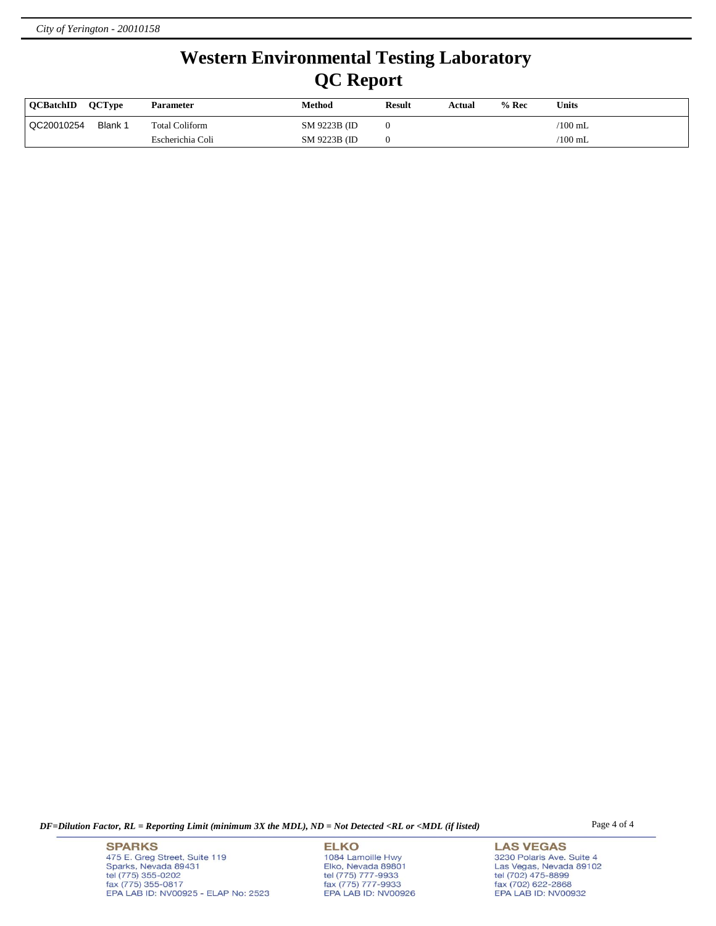# **Western Environmental Testing Laboratory QC Report**

| <b>OCBatchID</b> | <b>OCTvpe</b> | <b>Parameter</b> | Method        | <b>Result</b> | Actual | $%$ Rec | Units           |
|------------------|---------------|------------------|---------------|---------------|--------|---------|-----------------|
| QC20010254       | Blank 1       | Total Coliform   | SM 9223B (ID  |               |        |         | $\sqrt{100}$ mL |
|                  |               | Escherichia Coli | SM 9223B (ID) |               |        |         | $\sqrt{100}$ mL |

*DF=Dilution Factor, RL = Reporting Limit (minimum 3X the MDL), ND = Not Detected <RL or <MDL (if listed)* Page 4 of 4

**SPARKS** 475 E. Greg Street, Suite 119 Sparks, Nevada 89431<br>tel (775) 355-0202<br>fax (775) 355-0817 EPA LAB ID: NV00925 - ELAP No: 2523

**ELKO** 1084 Lamoille Hwy Polyton, Nevada 89801<br>tel (775) 777-9933<br>fax (775) 777-9933<br>EPA LAB ID: NV00926

**LAS VEGAS** 3230 Polaris Ave. Suite 4 Las Vegas, Nevada 89102<br>tel (702) 475-8899<br>fax (702) 622-2868<br>EPA LAB ID: NV00932